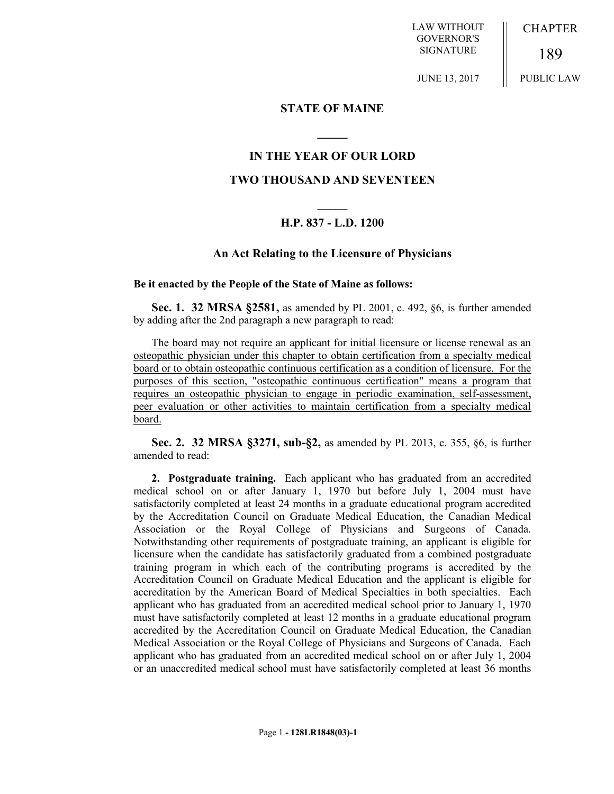LAW WITHOUT GOVERNOR'S SIGNATURE

CHAPTER

189 PUBLIC LAW

JUNE 13, 2017

## **STATE OF MAINE**

### **IN THE YEAR OF OUR LORD**

**\_\_\_\_\_**

#### **TWO THOUSAND AND SEVENTEEN**

# **\_\_\_\_\_ H.P. 837 - L.D. 1200**

#### **An Act Relating to the Licensure of Physicians**

#### **Be it enacted by the People of the State of Maine as follows:**

**Sec. 1. 32 MRSA §2581,** as amended by PL 2001, c. 492, §6, is further amended by adding after the 2nd paragraph a new paragraph to read:

The board may not require an applicant for initial licensure or license renewal as an osteopathic physician under this chapter to obtain certification from a specialty medical board or to obtain osteopathic continuous certification as a condition of licensure. For the purposes of this section, "osteopathic continuous certification" means a program that requires an osteopathic physician to engage in periodic examination, self-assessment, peer evaluation or other activities to maintain certification from a specialty medical board.

**Sec. 2. 32 MRSA §3271, sub-§2,** as amended by PL 2013, c. 355, §6, is further amended to read:

**2. Postgraduate training.** Each applicant who has graduated from an accredited medical school on or after January 1, 1970 but before July 1, 2004 must have satisfactorily completed at least 24 months in a graduate educational program accredited by the Accreditation Council on Graduate Medical Education, the Canadian Medical Association or the Royal College of Physicians and Surgeons of Canada. Notwithstanding other requirements of postgraduate training, an applicant is eligible for licensure when the candidate has satisfactorily graduated from a combined postgraduate training program in which each of the contributing programs is accredited by the Accreditation Council on Graduate Medical Education and the applicant is eligible for accreditation by the American Board of Medical Specialties in both specialties. Each applicant who has graduated from an accredited medical school prior to January 1, 1970 must have satisfactorily completed at least 12 months in a graduate educational program accredited by the Accreditation Council on Graduate Medical Education, the Canadian Medical Association or the Royal College of Physicians and Surgeons of Canada. Each applicant who has graduated from an accredited medical school on or after July 1, 2004 or an unaccredited medical school must have satisfactorily completed at least 36 months